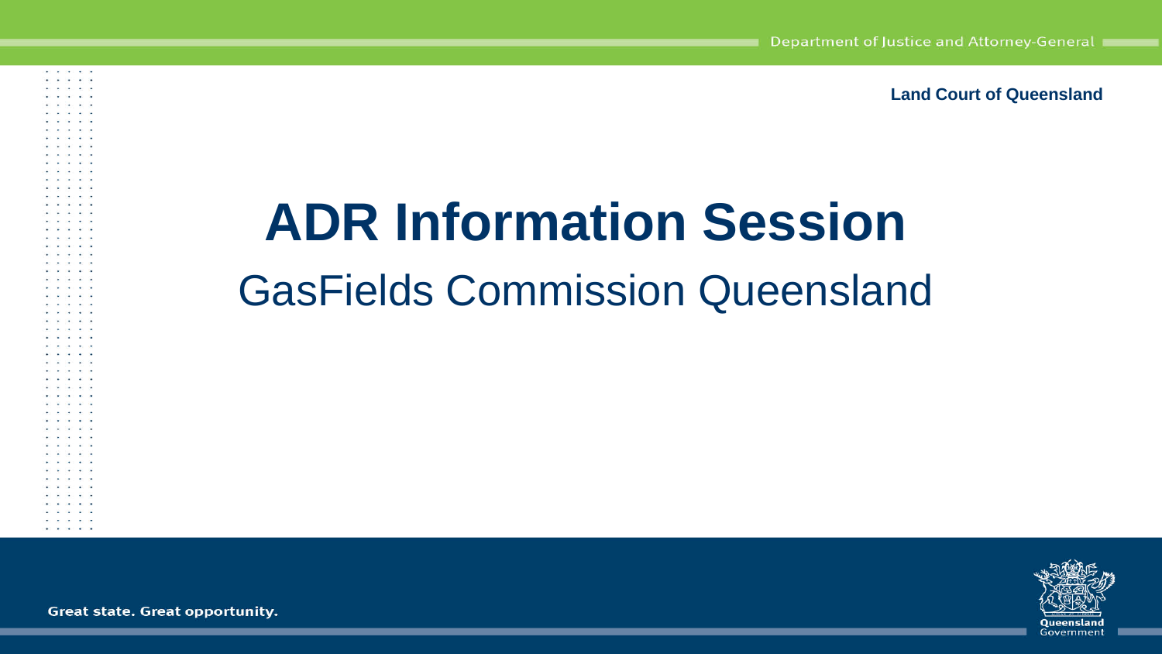**Land Court of Queensland**

## **ADR Information Session** GasFields Commission Queensland



Great state. Great opportunity.

them are there are not **And the Company and the** . . . . . . . . . . an an San Aona . . . . . e e so e s . . . . . and the company and the  $\cdots$ 

> . . . . . a sa bandar sa

. . . . .  $4.5 - 4.5 - 4.5 = 3.5$ 

 $\cdots$ colorado de la califactiva 1940 W. Sale 40, 14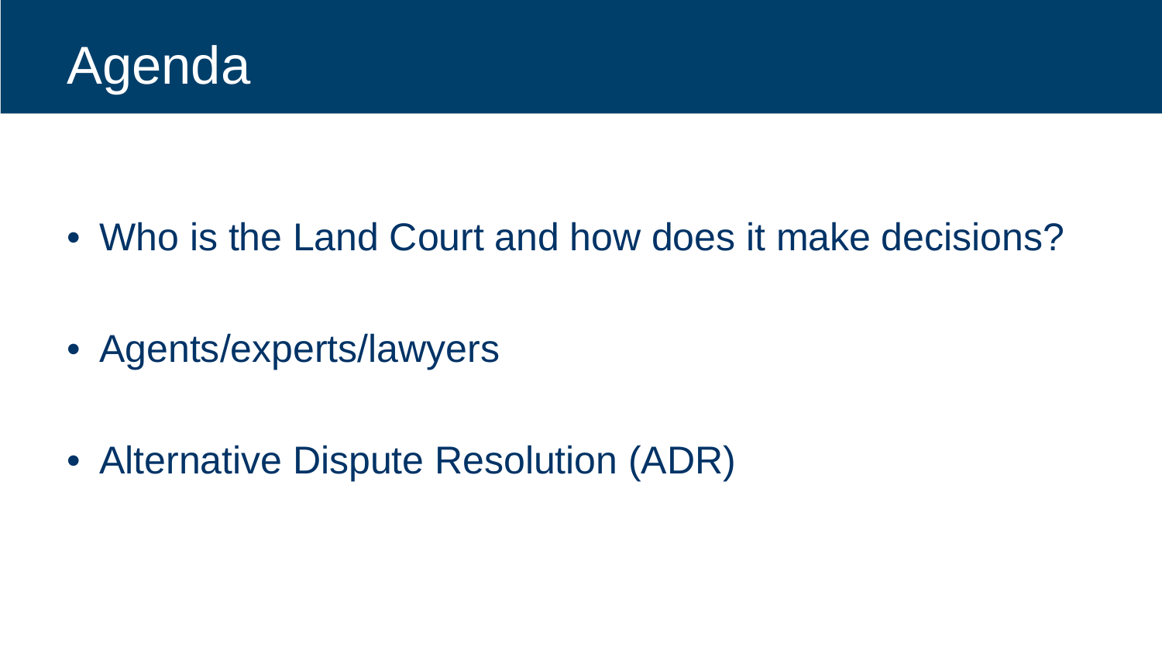

• Who is the Land Court and how does it make decisions?

• Agents/experts/lawyers

• Alternative Dispute Resolution (ADR)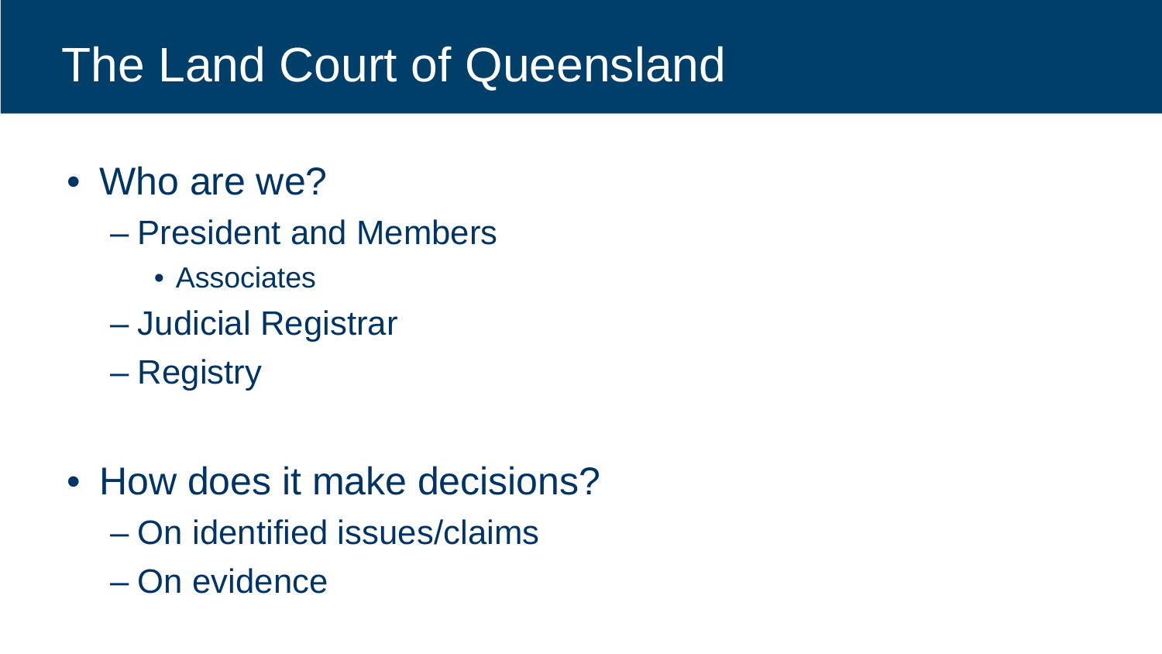## The Land Court of Queensland

- Who are we?
	- President and Members
		- Associates
	- Judicial Registrar
	- Registry
- How does it make decisions?
	- On identified issues/claims
	- On evidence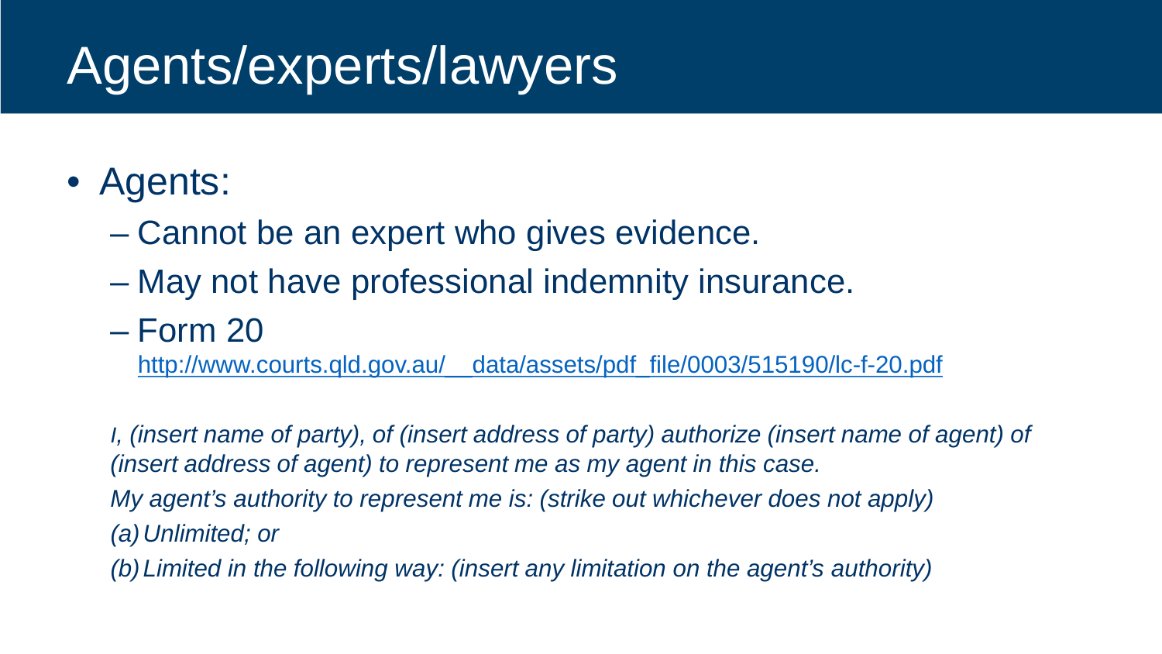## Agents/experts/lawyers

### • Agents:

- Cannot be an expert who gives evidence.
- May not have professional indemnity insurance.

#### – Form 20

[http://www.courts.qld.gov.au/\\_\\_data/assets/pdf\\_file/0003/515190/lc-f-20.pdf](http://www.courts.qld.gov.au/__data/assets/pdf_file/0003/515190/lc-f-20.pdf)

*I, (insert name of party), of (insert address of party) authorize (insert name of agent) of (insert address of agent) to represent me as my agent in this case. My agent's authority to represent me is: (strike out whichever does not apply) (a)Unlimited; or* 

*(b)Limited in the following way: (insert any limitation on the agent's authority)*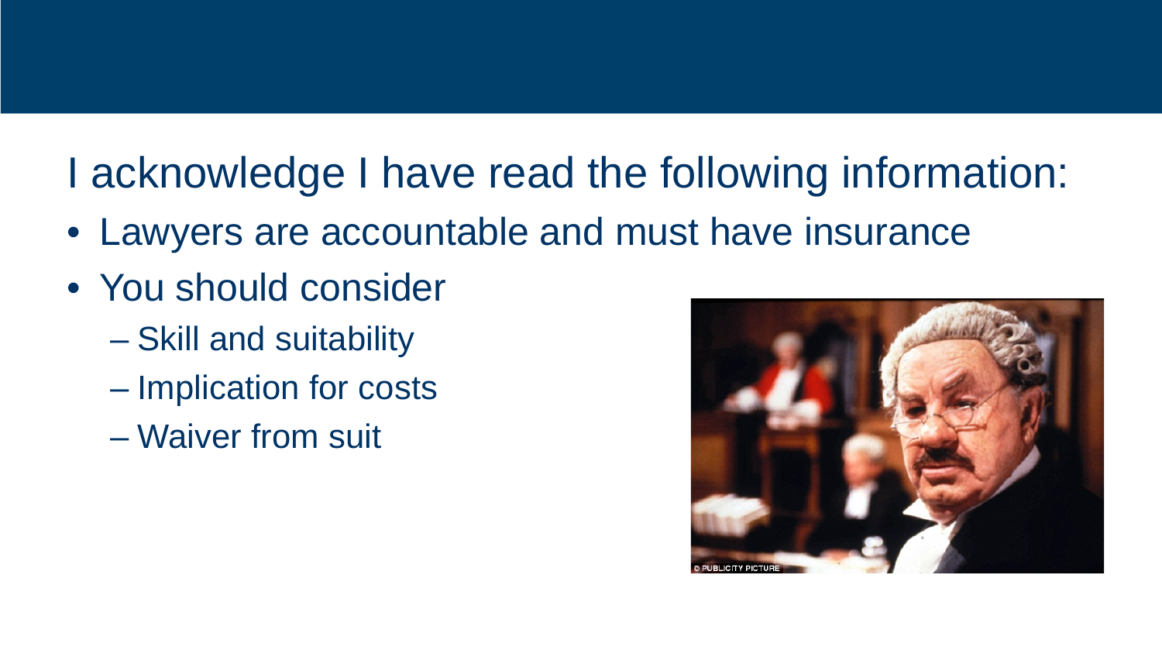### I acknowledge I have read the following information:

- Lawyers are accountable and must have insurance
- You should consider
	- Skill and suitability
	- Implication for costs
	- Waiver from suit

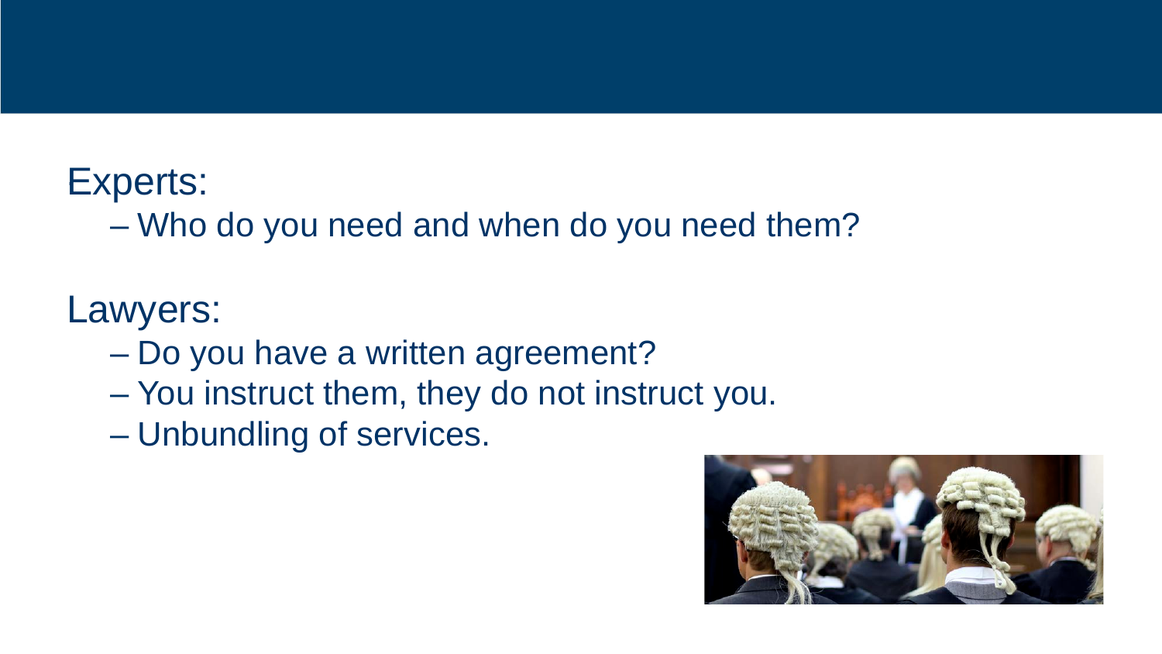#### Experts: .

– Who do you need and when do you need them?

#### Lawyers:

- Do you have a written agreement?
- You instruct them, they do not instruct you.
- Unbundling of services.

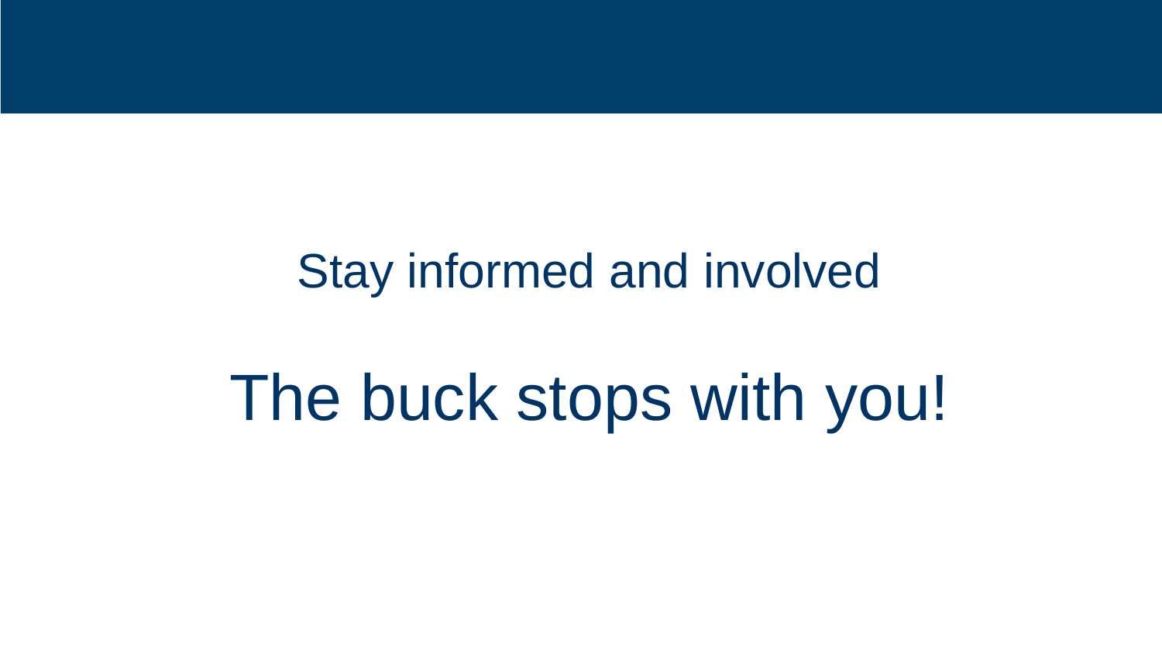### Stay informed and involved

# The buck stops with you!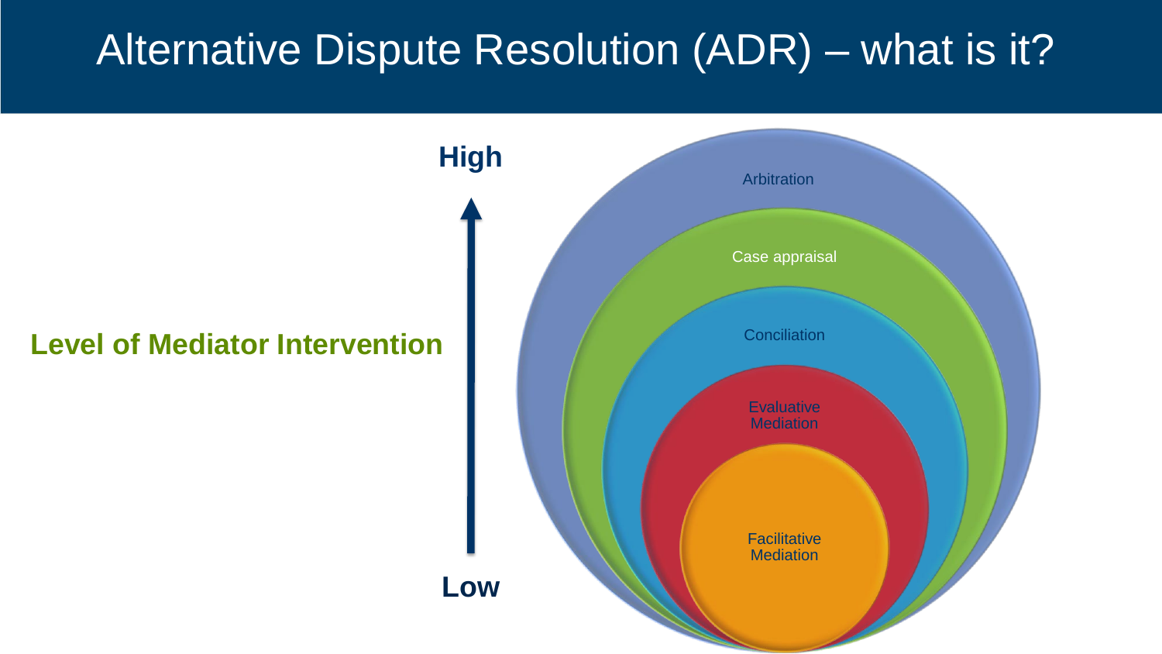### Alternative Dispute Resolution (ADR) – what is it?

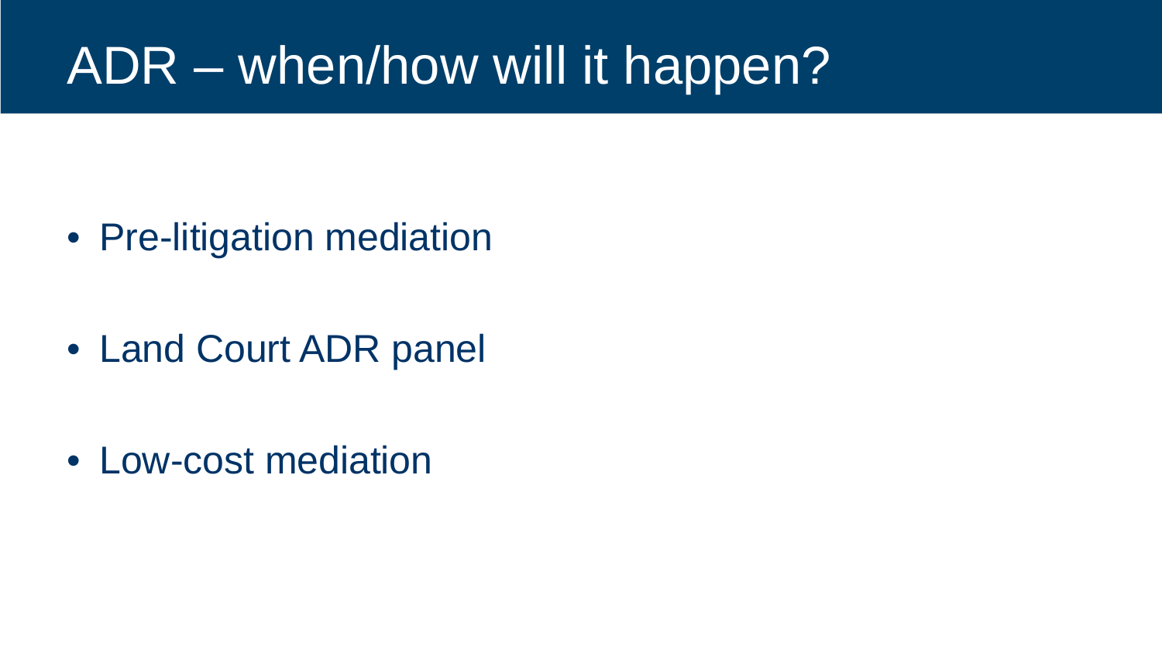## ADR – when/how will it happen?

• Pre-litigation mediation

• Land Court ADR panel

• Low-cost mediation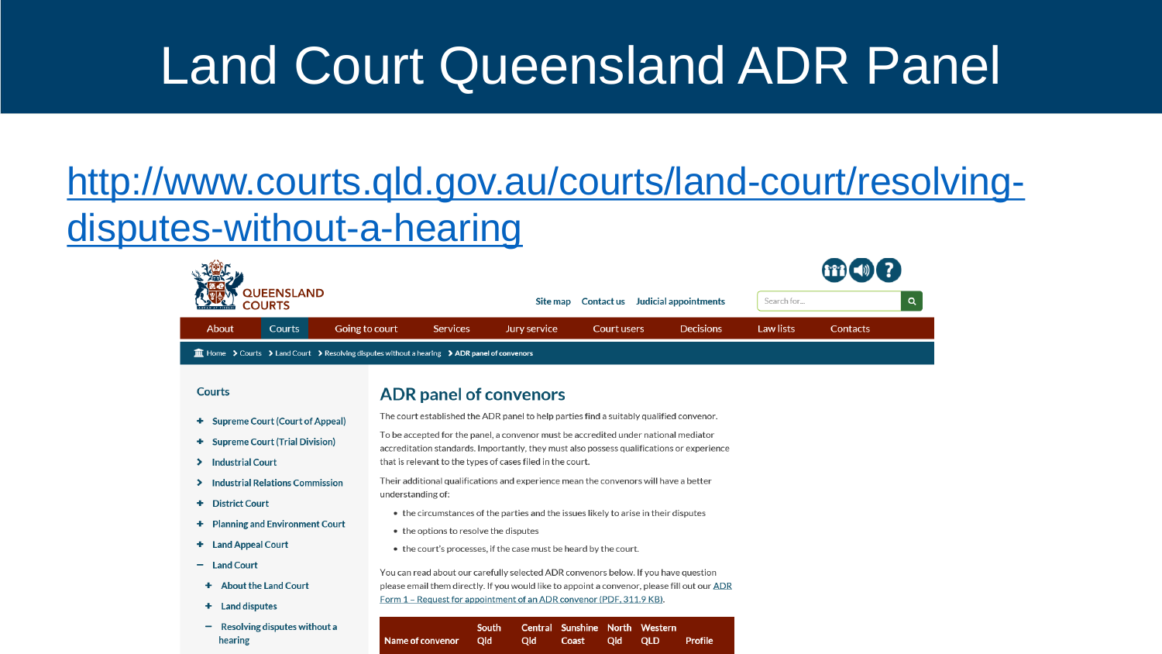## Land Court Queensland ADR Panel

### [http://www.courts.qld.gov.au/courts/land-court/resolving](http://www.courts.qld.gov.au/courts/land-court/resolving-disputes-without-a-hearing)disputes-without-a-hearing

 $\mathscr{L}\mathscr{N}$ 

| <b>QUEENSLAND</b><br><b>COURTS</b>                                                                                                                       |                                                                                         |                                                                                                                                                                                     | Contact us<br>Site map |                          |                            | Judicial appointments     | Search for       |          |  |
|----------------------------------------------------------------------------------------------------------------------------------------------------------|-----------------------------------------------------------------------------------------|-------------------------------------------------------------------------------------------------------------------------------------------------------------------------------------|------------------------|--------------------------|----------------------------|---------------------------|------------------|----------|--|
| Courts<br>About                                                                                                                                          | Going to court                                                                          | <b>Services</b>                                                                                                                                                                     | Jury service           |                          | <b>Court users</b>         | Decisions                 | <b>Law lists</b> | Contacts |  |
| $\widehat{m}$ Home $\rightarrow$ Courts $\rightarrow$ Land Court $\rightarrow$ Resolving disputes without a hearing $\rightarrow$ ADR panel of convenors |                                                                                         |                                                                                                                                                                                     |                        |                          |                            |                           |                  |          |  |
| <b>Courts</b>                                                                                                                                            | <b>ADR panel of convenors</b>                                                           |                                                                                                                                                                                     |                        |                          |                            |                           |                  |          |  |
| <b>Supreme Court (Court of Appeal)</b><br>٠                                                                                                              | The court established the ADR panel to help parties find a suitably qualified convenor. |                                                                                                                                                                                     |                        |                          |                            |                           |                  |          |  |
| <b>Supreme Court (Trial Division)</b><br>٠                                                                                                               |                                                                                         | To be accepted for the panel, a convenor must be accredited under national mediator<br>accreditation standards. Importantly, they must also possess qualifications or experience    |                        |                          |                            |                           |                  |          |  |
| <b>Industrial Court</b><br>⋗                                                                                                                             |                                                                                         | that is relevant to the types of cases filed in the court.                                                                                                                          |                        |                          |                            |                           |                  |          |  |
| <b>Industrial Relations Commission</b><br>⋗                                                                                                              | understanding of:                                                                       | Their additional qualifications and experience mean the convenors will have a better                                                                                                |                        |                          |                            |                           |                  |          |  |
| <b>District Court</b><br>٠                                                                                                                               |                                                                                         |                                                                                                                                                                                     |                        |                          |                            |                           |                  |          |  |
| <b>Planning and Environment Court</b><br>٠                                                                                                               |                                                                                         | • the circumstances of the parties and the issues likely to arise in their disputes                                                                                                 |                        |                          |                            |                           |                  |          |  |
| <b>Land Appeal Court</b><br>٠                                                                                                                            |                                                                                         | • the options to resolve the disputes<br>• the court's processes, if the case must be heard by the court.                                                                           |                        |                          |                            |                           |                  |          |  |
| <b>Land Court</b><br>-                                                                                                                                   |                                                                                         |                                                                                                                                                                                     |                        |                          |                            |                           |                  |          |  |
| <b>About the Land Court</b><br>٠                                                                                                                         |                                                                                         | You can read about our carefully selected ADR convenors below. If you have question<br>please email them directly. If you would like to appoint a convenor, please fill out our ADR |                        |                          |                            |                           |                  |          |  |
| <b>Land disputes</b><br>٠                                                                                                                                | Form 1 - Request for appointment of an ADR convenor (PDF, 311.9 KB).                    |                                                                                                                                                                                     |                        |                          |                            |                           |                  |          |  |
| Resolving disputes without a<br>hearing                                                                                                                  | <b>Name of convenor</b>                                                                 | South<br>Qld                                                                                                                                                                        | <b>Central</b><br>Qld  | <b>Sunshine</b><br>Coast | <b>North</b><br>Qld<br>QLD | Western<br><b>Profile</b> |                  |          |  |